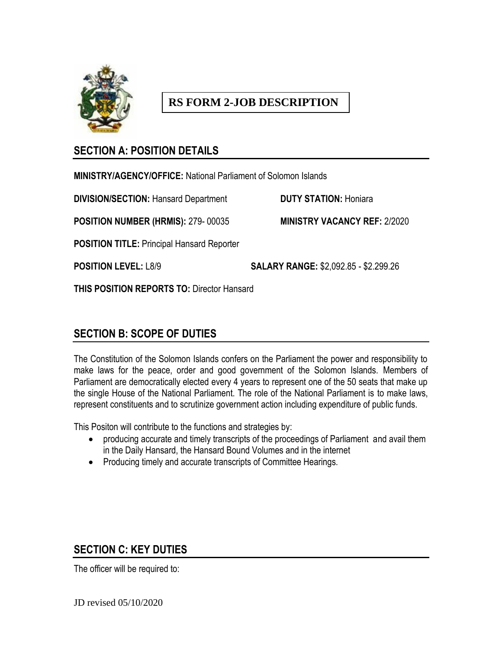

# **RS FORM 2-JOB DESCRIPTION**

## **SECTION A: POSITION DETAILS**

**MINISTRY/AGENCY/OFFICE:** National Parliament of Solomon Islands

**DIVISION/SECTION:** Hansard Department **DUTY STATION:** Honiara

**POSITION NUMBER (HRMIS):** 279- 00035 **MINISTRY VACANCY REF:** 2/2020

**POSITION TITLE:** Principal Hansard Reporter

**POSITION LEVEL:** L8/9 **SALARY RANGE:** \$2,092.85 - \$2.299.26

**THIS POSITION REPORTS TO:** Director Hansard

## **SECTION B: SCOPE OF DUTIES**

The Constitution of the Solomon Islands confers on the Parliament the power and responsibility to make laws for the peace, order and good government of the Solomon Islands. Members of Parliament are democratically elected every 4 years to represent one of the 50 seats that make up the single House of the National Parliament. The role of the National Parliament is to make laws, represent constituents and to scrutinize government action including expenditure of public funds.

This Positon will contribute to the functions and strategies by:

- producing accurate and timely transcripts of the proceedings of Parliament and avail them in the Daily Hansard, the Hansard Bound Volumes and in the internet
- Producing timely and accurate transcripts of Committee Hearings.

## **SECTION C: KEY DUTIES**

The officer will be required to:

JD revised 05/10/2020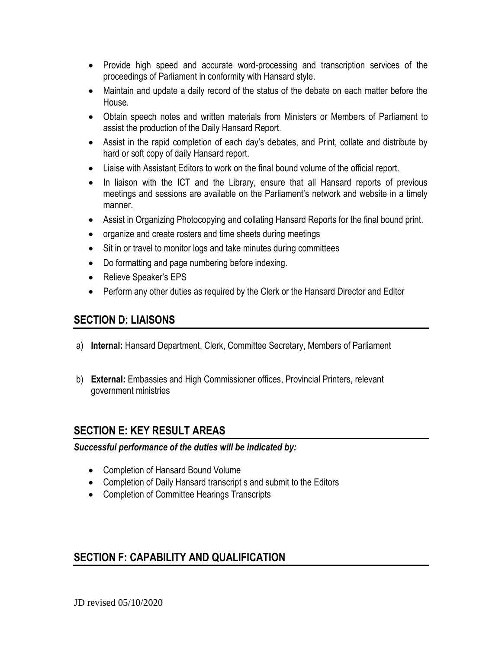- Provide high speed and accurate word-processing and transcription services of the proceedings of Parliament in conformity with Hansard style.
- Maintain and update a daily record of the status of the debate on each matter before the House.
- Obtain speech notes and written materials from Ministers or Members of Parliament to assist the production of the Daily Hansard Report.
- Assist in the rapid completion of each day's debates, and Print, collate and distribute by hard or soft copy of daily Hansard report.
- Liaise with Assistant Editors to work on the final bound volume of the official report.
- In liaison with the ICT and the Library, ensure that all Hansard reports of previous meetings and sessions are available on the Parliament's network and website in a timely manner.
- Assist in Organizing Photocopying and collating Hansard Reports for the final bound print.
- organize and create rosters and time sheets during meetings
- Sit in or travel to monitor logs and take minutes during committees
- Do formatting and page numbering before indexing.
- Relieve Speaker's EPS
- Perform any other duties as required by the Clerk or the Hansard Director and Editor

### **SECTION D: LIAISONS**

- a) **Internal:** Hansard Department, Clerk, Committee Secretary, Members of Parliament
- b) **External:** Embassies and High Commissioner offices, Provincial Printers, relevant government ministries

### **SECTION E: KEY RESULT AREAS**

#### *Successful performance of the duties will be indicated by:*

- Completion of Hansard Bound Volume
- Completion of Daily Hansard transcript s and submit to the Editors
- Completion of Committee Hearings Transcripts

## **SECTION F: CAPABILITY AND QUALIFICATION**

JD revised 05/10/2020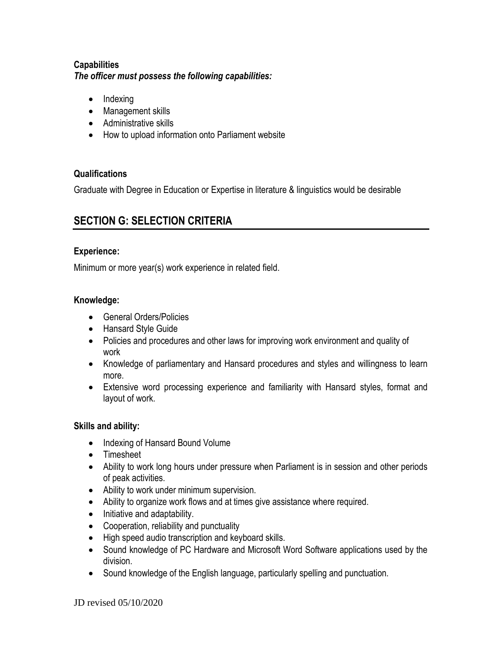#### **Capabilities** *The officer must possess the following capabilities:*

- $\bullet$  Indexing
- Management skills
- Administrative skills
- How to upload information onto Parliament website

#### **Qualifications**

Graduate with Degree in Education or Expertise in literature & linguistics would be desirable

## **SECTION G: SELECTION CRITERIA**

#### **Experience:**

Minimum or more year(s) work experience in related field.

#### **Knowledge:**

- General Orders/Policies
- Hansard Style Guide
- Policies and procedures and other laws for improving work environment and quality of work
- Knowledge of parliamentary and Hansard procedures and styles and willingness to learn more.
- Extensive word processing experience and familiarity with Hansard styles, format and layout of work.

#### **Skills and ability:**

- Indexing of Hansard Bound Volume
- Timesheet
- Ability to work long hours under pressure when Parliament is in session and other periods of peak activities.
- Ability to work under minimum supervision.
- Ability to organize work flows and at times give assistance where required.
- Initiative and adaptability.
- Cooperation, reliability and punctuality
- High speed audio transcription and keyboard skills.
- Sound knowledge of PC Hardware and Microsoft Word Software applications used by the division.
- Sound knowledge of the English language, particularly spelling and punctuation.

JD revised 05/10/2020